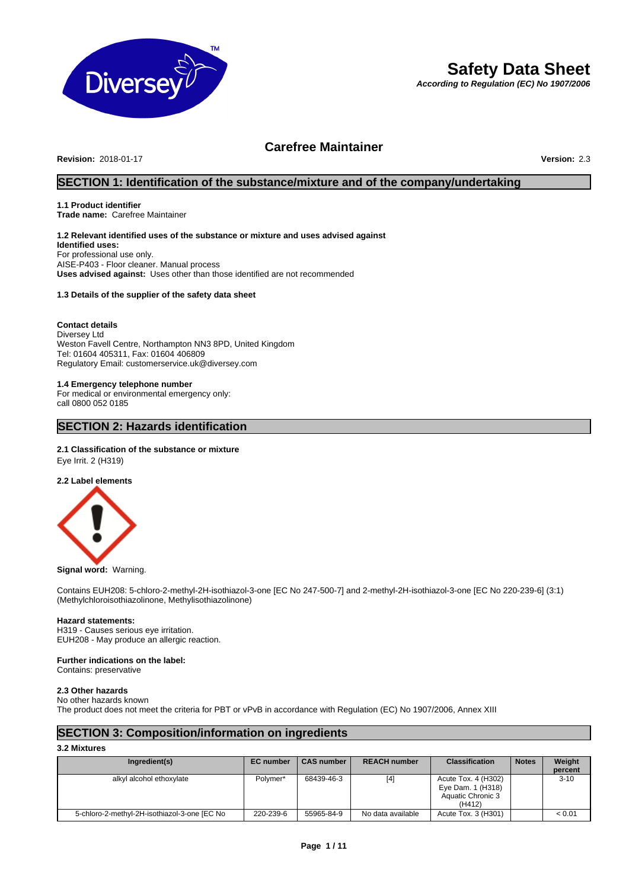

# **Safety Data Sheet**

*According to Regulation (EC) No 1907/2006*

# **Carefree Maintainer**

**Revision:** 2018-01-17 **Version:** 2.3

# **SECTION 1: Identification of the substance/mixture and of the company/undertaking**

# **1.1 Product identifier**

**Trade name:** Carefree Maintainer

# **1.2 Relevant identified uses of the substance or mixture and uses advised against**

**Identified uses:** For professional use only. AISE-P403 - Floor cleaner. Manual process **Uses advised against:** Uses other than those identified are not recommended

# **1.3 Details of the supplier of the safety data sheet**

# **Contact details**

Diversey Ltd Weston Favell Centre, Northampton NN3 8PD, United Kingdom Tel: 01604 405311, Fax: 01604 406809 Regulatory Email: customerservice.uk@diversey.com

# **1.4 Emergency telephone number**

For medical or environmental emergency only: call 0800 052 0185

# **SECTION 2: Hazards identification**

# **2.1 Classification of the substance or mixture**

Eye Irrit. 2 (H319)

**2.2 Label elements**



# **Signal word:** Warning.

Contains EUH208: 5-chloro-2-methyl-2H-isothiazol-3-one [EC No 247-500-7] and 2-methyl-2H-isothiazol-3-one [EC No 220-239-6] (3:1) (Methylchloroisothiazolinone, Methylisothiazolinone)

# **Hazard statements:**

H319 - Causes serious eye irritation. EUH208 - May produce an allergic reaction.

# **Further indications on the label:**

Contains: preservative

# **2.3 Other hazards**

No other hazards known

The product does not meet the criteria for PBT or vPvB in accordance with Regulation (EC) No 1907/2006, Annex XIII

# **SECTION 3: Composition/information on ingredients**

# **3.2 Mixtures**

| Ingredient(s)                                | <b>EC</b> number | <b>CAS number</b> | <b>REACH number</b> | <b>Classification</b>                                                   | <b>Notes</b> | Weight<br>percent |
|----------------------------------------------|------------------|-------------------|---------------------|-------------------------------------------------------------------------|--------------|-------------------|
| alkyl alcohol ethoxylate                     | Polymer*         | 68439-46-3        | $[4]$               | Acute Tox. 4 (H302)<br>Eye Dam. 1 (H318)<br>Aquatic Chronic 3<br>(H412) |              | $3 - 10$          |
| 5-chloro-2-methyl-2H-isothiazol-3-one [EC No | 220-239-6        | 55965-84-9        | No data available   | Acute Tox. 3 (H301)                                                     |              | < 0.01            |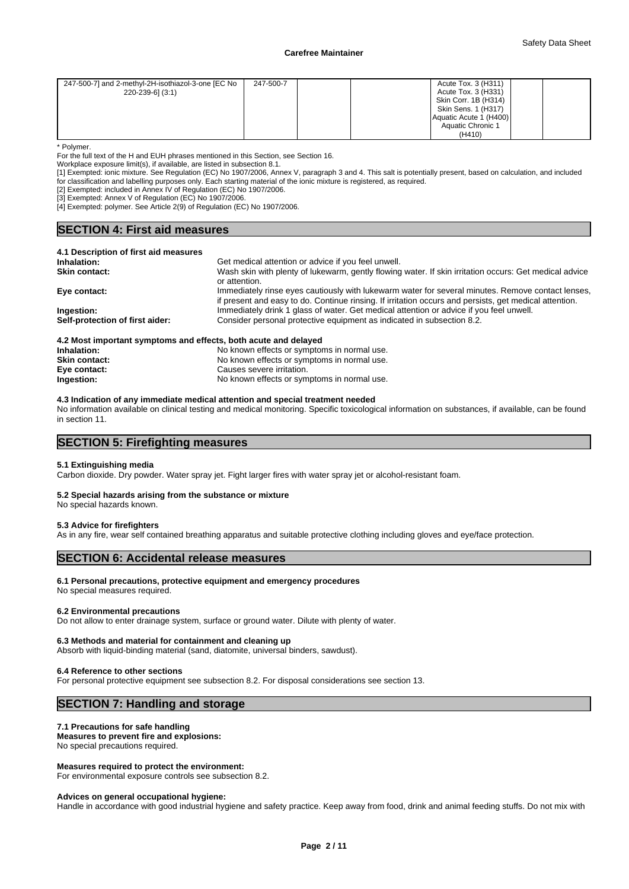| 247-500-7] and 2-methyl-2H-isothiazol-3-one [EC No<br>220-239-6] (3:1) | 247-500-7 |  | Acute Tox. 3 (H311)<br>Acute Tox. 3 (H331)<br>Skin Corr. 1B (H314) |  |
|------------------------------------------------------------------------|-----------|--|--------------------------------------------------------------------|--|
|                                                                        |           |  | Skin Sens. 1 (H317)<br>Aquatic Acute 1 (H400)                      |  |
|                                                                        |           |  | Aquatic Chronic 1<br>(H410)                                        |  |

\* Polymer.

For the full text of the H and EUH phrases mentioned in this Section, see Section 16.

Workplace exposure limit(s), if available, are listed in subsection 8.1.

[1] Exempted: ionic mixture. See Regulation (EC) No 1907/2006, Annex V, paragraph 3 and 4. This salt is potentially present, based on calculation, and included for classification and labelling purposes only. Each starting material of the ionic mixture is registered, as required.

[2] Exempted: included in Annex IV of Regulation (EC) No 1907/2006.

[3] Exempted: Annex V of Regulation (EC) No 1907/2006.

[4] Exempted: polymer. See Article 2(9) of Regulation (EC) No 1907/2006.

# **SECTION 4: First aid measures**

#### **4.1 Description of first aid measures**

| Inhalation:                     | Get medical attention or advice if you feel unwell.                                                    |
|---------------------------------|--------------------------------------------------------------------------------------------------------|
| <b>Skin contact:</b>            | Wash skin with plenty of lukewarm, gently flowing water. If skin irritation occurs: Get medical advice |
|                                 | or attention.                                                                                          |
| Eye contact:                    | Immediately rinse eyes cautiously with lukewarm water for several minutes. Remove contact lenses,      |
|                                 | if present and easy to do. Continue rinsing. If irritation occurs and persists, get medical attention. |
| Ingestion:                      | Immediately drink 1 glass of water. Get medical attention or advice if you feel unwell.                |
| Self-protection of first aider: | Consider personal protective equipment as indicated in subsection 8.2.                                 |
|                                 |                                                                                                        |
|                                 |                                                                                                        |

| 4.2 Most important symptoms and effects, both acute and delayed |                                             |
|-----------------------------------------------------------------|---------------------------------------------|
| Inhalation:                                                     | No known effects or symptoms in normal use. |
| <b>Skin contact:</b>                                            | No known effects or symptoms in normal use. |
| Eye contact:                                                    | Causes severe irritation.                   |
| Ingestion:                                                      | No known effects or symptoms in normal use. |

# **4.3 Indication of any immediate medical attention and special treatment needed**

No information available on clinical testing and medical monitoring. Specific toxicological information on substances, if available, can be found in section 11.

# **SECTION 5: Firefighting measures**

#### **5.1 Extinguishing media**

Carbon dioxide. Dry powder. Water spray jet. Fight larger fires with water spray jet or alcohol-resistant foam.

#### **5.2 Special hazards arising from the substance or mixture**

No special hazards known.

# **5.3 Advice for firefighters**

As in any fire, wear self contained breathing apparatus and suitable protective clothing including gloves and eye/face protection.

# **SECTION 6: Accidental release measures**

# **6.1 Personal precautions, protective equipment and emergency procedures**

No special measures required.

#### **6.2 Environmental precautions**

Do not allow to enter drainage system, surface or ground water. Dilute with plenty of water.

# **6.3 Methods and material for containment and cleaning up**

Absorb with liquid-binding material (sand, diatomite, universal binders, sawdust).

#### **6.4 Reference to other sections**

For personal protective equipment see subsection 8.2. For disposal considerations see section 13.

# **SECTION 7: Handling and storage**

# **7.1 Precautions for safe handling**

**Measures to prevent fire and explosions:**

No special precautions required.

### **Measures required to protect the environment:**

For environmental exposure controls see subsection 8.2.

#### **Advices on general occupational hygiene:**

Handle in accordance with good industrial hygiene and safety practice. Keep away from food, drink and animal feeding stuffs. Do not mix with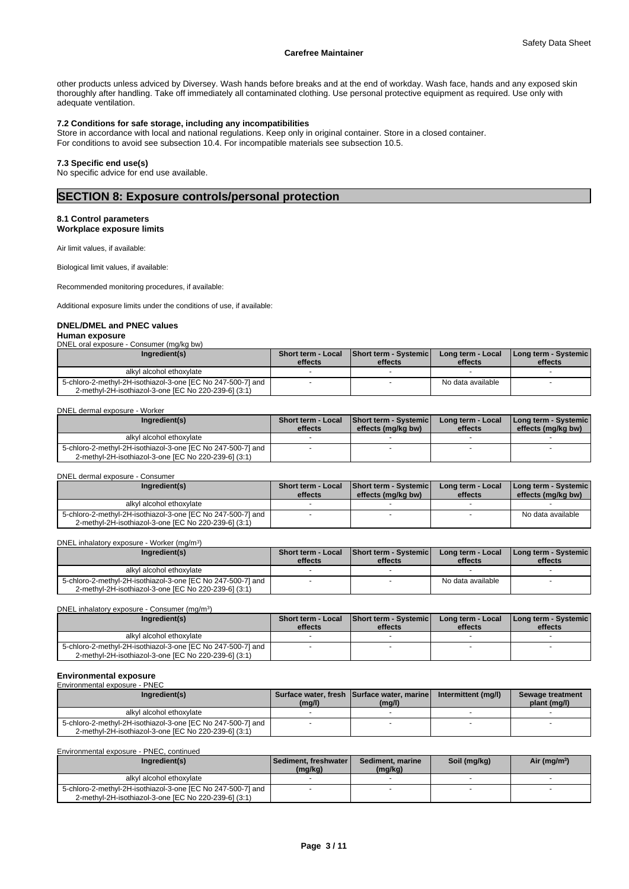other products unless adviced by Diversey. Wash hands before breaks and at the end of workday. Wash face, hands and any exposed skin thoroughly after handling. Take off immediately all contaminated clothing. Use personal protective equipment as required. Use only with adequate ventilation.

# **7.2 Conditions for safe storage, including any incompatibilities**

Store in accordance with local and national regulations. Keep only in original container. Store in a closed container. For conditions to avoid see subsection 10.4. For incompatible materials see subsection 10.5.

#### **7.3 Specific end use(s)**

No specific advice for end use available.

# **SECTION 8: Exposure controls/personal protection**

# **8.1 Control parameters Workplace exposure limits**

Air limit values, if available:

Biological limit values, if available:

Recommended monitoring procedures, if available:

Additional exposure limits under the conditions of use, if available:

#### **DNEL/DMEL and PNEC values**

#### **Human exposure** ,<br>Consumer (malka bw)

| DIVEL OIGI EXPOSULE - CONSUMENTING/KU DWT |                                                                                                                     |                               |                                  |                              |                                 |  |  |  |
|-------------------------------------------|---------------------------------------------------------------------------------------------------------------------|-------------------------------|----------------------------------|------------------------------|---------------------------------|--|--|--|
|                                           | Ingredient(s)                                                                                                       | Short term - Local<br>effects | Short term - Systemic<br>effects | Long term - Local<br>effects | Long term - Systemic<br>effects |  |  |  |
|                                           | alkyl alcohol ethoxylate                                                                                            |                               |                                  |                              |                                 |  |  |  |
|                                           | 5-chloro-2-methyl-2H-isothiazol-3-one [EC No 247-500-7] and<br>2-methyl-2H-isothiazol-3-one [EC No 220-239-6] (3:1) |                               |                                  | No data available            |                                 |  |  |  |

| Ingredient(s)                                                                                                       | <b>Short term - Local</b><br>effects | Short term - Systemic<br>effects (mg/kg bw) | Long term - Local<br>effects | I Long term - Systemic I<br>effects (mg/kg bw) |
|---------------------------------------------------------------------------------------------------------------------|--------------------------------------|---------------------------------------------|------------------------------|------------------------------------------------|
| alkyl alcohol ethoxylate                                                                                            |                                      |                                             |                              |                                                |
| 5-chloro-2-methyl-2H-isothiazol-3-one [EC No 247-500-7] and<br>2-methyl-2H-isothiazol-3-one [EC No 220-239-6] (3:1) |                                      |                                             |                              |                                                |

#### DNEL dermal exposure - Consumer

| Ingredient(s)                                                                                                       | <b>Short term - Local</b><br>effects | <b>Short term - Systemic</b><br>effects (mg/kg bw) | Long term - Local<br>effects | <b>I Long term - Systemic</b><br>effects (mg/kg bw) |  |
|---------------------------------------------------------------------------------------------------------------------|--------------------------------------|----------------------------------------------------|------------------------------|-----------------------------------------------------|--|
| alkyl alcohol ethoxylate                                                                                            |                                      |                                                    |                              |                                                     |  |
| 5-chloro-2-methyl-2H-isothiazol-3-one [EC No 247-500-7] and<br>2-methyl-2H-isothiazol-3-one [EC No 220-239-6] (3:1) |                                      |                                                    |                              | No data available                                   |  |

DNEL inhalatory exposure - Worker (mg/m<sup>3</sup>) ) and  $\overline{\phantom{a}}$ 

| Ingredient(s)                                                                                                       | effects | Short term - Local Short term - Systemic<br>effects | Long term - Local<br>effects | <b>I Long term - Systemic I</b><br>effects |
|---------------------------------------------------------------------------------------------------------------------|---------|-----------------------------------------------------|------------------------------|--------------------------------------------|
| alkyl alcohol ethoxylate                                                                                            |         |                                                     |                              |                                            |
| 5-chloro-2-methyl-2H-isothiazol-3-one [EC No 247-500-7] and<br>2-methyl-2H-isothiazol-3-one [EC No 220-239-6] (3:1) |         |                                                     | No data available            |                                            |

DNEL inhalatory exposure - Consumer (mg/m<sup>3</sup>

| Ingredient(s)                                                                                                       | effects | Short term - Local Short term - Systemic<br>effects | Long term - Local<br>effects | I Long term - Systemic<br>effects |  |
|---------------------------------------------------------------------------------------------------------------------|---------|-----------------------------------------------------|------------------------------|-----------------------------------|--|
| alkyl alcohol ethoxylate                                                                                            |         |                                                     |                              |                                   |  |
| 5-chloro-2-methyl-2H-isothiazol-3-one [EC No 247-500-7] and<br>2-methyl-2H-isothiazol-3-one IEC No 220-239-61 (3:1) |         |                                                     |                              |                                   |  |

)

#### **Environmental exposure** Environmental exposure - PNEC

| Ingredient(s)                                                                                                       | (mg/l) | Surface water, fresh Surface water, marine<br>(mg/l) | Intermittent (mg/l) | Sewage treatment<br>plant (mg/l) |
|---------------------------------------------------------------------------------------------------------------------|--------|------------------------------------------------------|---------------------|----------------------------------|
| alkyl alcohol ethoxylate                                                                                            |        |                                                      |                     |                                  |
| 5-chloro-2-methyl-2H-isothiazol-3-one [EC No 247-500-7] and<br>2-methyl-2H-isothiazol-3-one [EC No 220-239-6] (3:1) |        |                                                      |                     |                                  |

Environmental exposure - PNEC, continued

| Ingredient(s)                                                                                                       | l Sediment. freshwater l<br>(mg/kg) | Sediment, marine<br>(mg/kg) | Soil (mg/kg) | Air (mg/m <sup>3</sup> ) |
|---------------------------------------------------------------------------------------------------------------------|-------------------------------------|-----------------------------|--------------|--------------------------|
| alkyl alcohol ethoxylate                                                                                            |                                     |                             |              |                          |
| 5-chloro-2-methyl-2H-isothiazol-3-one [EC No 247-500-7] and<br>2-methyl-2H-isothiazol-3-one IEC No 220-239-61 (3:1) |                                     |                             |              |                          |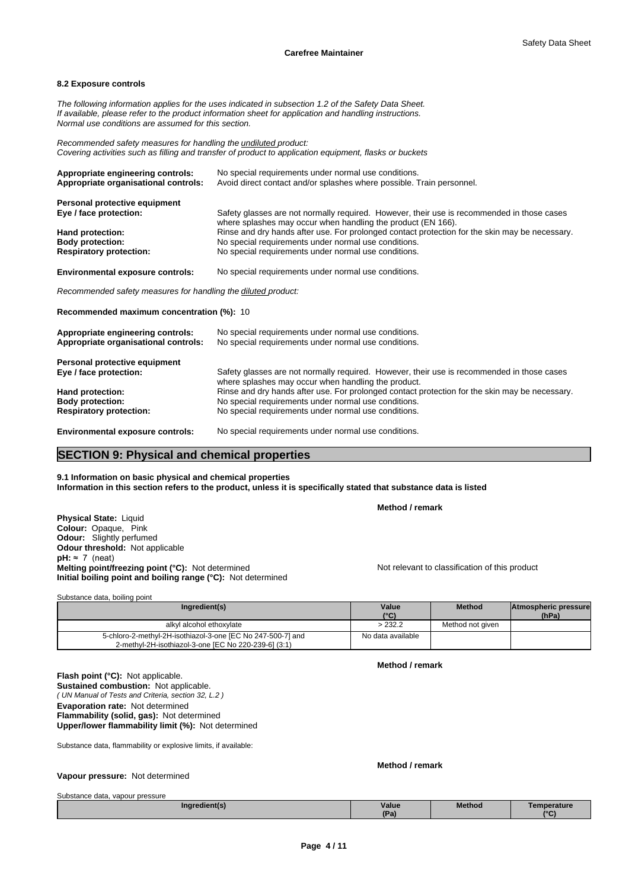#### **8.2 Exposure controls**

*The following information applies for the uses indicated in subsection 1.2 of the Safety Data Sheet. If available, please refer to the product information sheet for application and handling instructions. Normal use conditions are assumed for this section.*

*Recommended safety measures for handling the undiluted product: Covering activities such as filling and transfer of product to application equipment, flasks or buckets*

| Appropriate engineering controls:<br>Appropriate organisational controls: | No special requirements under normal use conditions.<br>Avoid direct contact and/or splashes where possible. Train personnel.                              |
|---------------------------------------------------------------------------|------------------------------------------------------------------------------------------------------------------------------------------------------------|
| Personal protective equipment                                             |                                                                                                                                                            |
| Eye / face protection:                                                    | Safety glasses are not normally required. However, their use is recommended in those cases<br>where splashes may occur when handling the product (EN 166). |
| Hand protection:                                                          | Rinse and dry hands after use. For prolonged contact protection for the skin may be necessary.                                                             |
| <b>Body protection:</b>                                                   | No special requirements under normal use conditions.                                                                                                       |
| <b>Respiratory protection:</b>                                            | No special requirements under normal use conditions.                                                                                                       |
| <b>Environmental exposure controls:</b>                                   | No special requirements under normal use conditions.                                                                                                       |

*Recommended safety measures for handling the diluted product:*

**Recommended maximum concentration (%):** 10

| Appropriate engineering controls:<br>Appropriate organisational controls: | No special requirements under normal use conditions.<br>No special requirements under normal use conditions.                                      |
|---------------------------------------------------------------------------|---------------------------------------------------------------------------------------------------------------------------------------------------|
| Personal protective equipment                                             |                                                                                                                                                   |
| Eye / face protection:                                                    | Safety glasses are not normally required. However, their use is recommended in those cases<br>where splashes may occur when handling the product. |
| Hand protection:                                                          | Rinse and dry hands after use. For prolonged contact protection for the skin may be necessary.                                                    |
| <b>Body protection:</b>                                                   | No special requirements under normal use conditions.                                                                                              |
| <b>Respiratory protection:</b>                                            | No special requirements under normal use conditions.                                                                                              |
| <b>Environmental exposure controls:</b>                                   | No special requirements under normal use conditions.                                                                                              |

# **SECTION 9: Physical and chemical properties**

**9.1 Information on basic physical and chemical properties Information in this section refers to the product, unless it is specifically stated that substance data is listed**

**Method / remark**

**Physical State:** Liquid **Colour:** Opaque, Pink **Odour:** Slightly perfumed **Odour threshold:** Not applicable **pH:** ≈ 7 (neat) **Melting point/freezing point (°C):** Not determined Not relevant to classification of this product **Initial boiling point and boiling range (°C):** Not determined

| Ingredient(s)                                                                                                       | Value<br>(°C)     | <b>Method</b>    | Atmospheric pressure<br>(hPa) |  |
|---------------------------------------------------------------------------------------------------------------------|-------------------|------------------|-------------------------------|--|
| alkyl alcohol ethoxylate                                                                                            | >232.2            | Method not given |                               |  |
| 5-chloro-2-methyl-2H-isothiazol-3-one [EC No 247-500-7] and<br>2-methyl-2H-isothiazol-3-one [EC No 220-239-6] (3:1) | No data available |                  |                               |  |

*( UN Manual of Tests and Criteria, section 32, L.2 )* **Flash point (°C):** Not applicable. **Sustained combustion:** Not applicable. **Evaporation rate:** Not determined **Flammability (solid, gas):** Not determined **Upper/lower flammability limit (%):** Not determined

Substance data, flammability or explosive limits, if available:

**Method / remark**

**Method / remark**

**Vapour pressure:** Not determined

Substance data, vapour pressure

Substance data, boiling point

| <b>Capolarioo dala, vapodi procodio</b> |               |              |               |                    |  |  |
|-----------------------------------------|---------------|--------------|---------------|--------------------|--|--|
|                                         | Inaredient(s) | <b>Value</b> | <b>Method</b> | <b>Femperature</b> |  |  |
|                                         | .             | (Pa          |               | $\sim$             |  |  |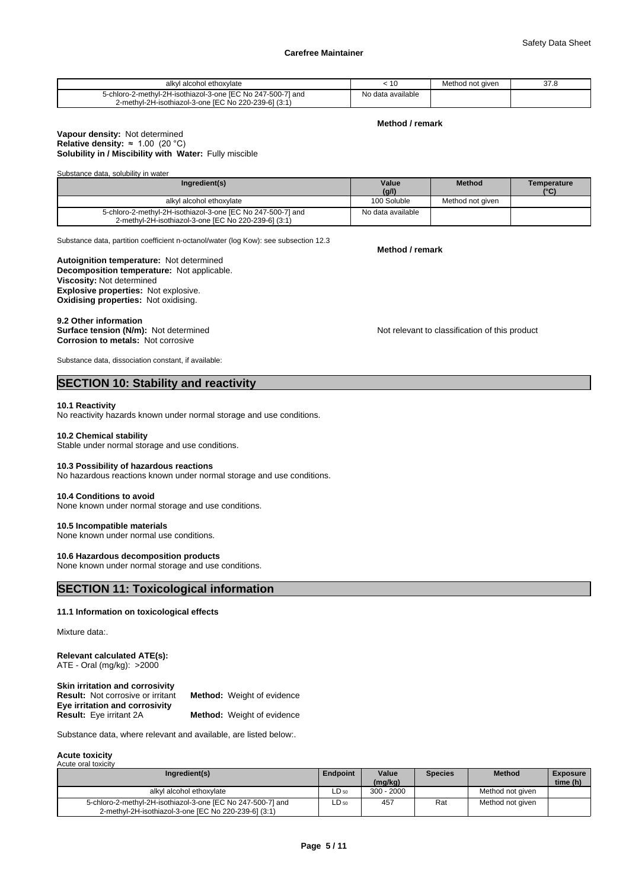| l alcohol ethoxvlate<br>alky                                | ΊU                   | Method not aiven | 27 C<br><i>or o</i> |
|-------------------------------------------------------------|----------------------|------------------|---------------------|
| 5-chloro-2-methyl-2H-isothiazol-3-one IEC No 247-500-71 and | data available<br>N٥ |                  |                     |
| 2-methyl-2H-isothiazol-3-one [EC No 220-239-6] (3:1)        |                      |                  |                     |

#### **Method / remark**

# **Solubility in / Miscibility with Water:** Fully miscible **Vapour density:** Not determined **Relative density:** ≈1.00(20°C)

Substance data, solubility in water

| Ingredient(s)                                                                                                       | Value             | <b>Method</b>    | Temperature |
|---------------------------------------------------------------------------------------------------------------------|-------------------|------------------|-------------|
|                                                                                                                     | (g/l)             |                  | (°C)        |
| alkyl alcohol ethoxylate                                                                                            | 100 Soluble       | Method not given |             |
| 5-chloro-2-methyl-2H-isothiazol-3-one [EC No 247-500-7] and<br>2-methyl-2H-isothiazol-3-one [EC No 220-239-6] (3:1) | No data available |                  |             |

Substance data, partition coefficient n-octanol/water (log Kow): see subsection 12.3

**Decomposition temperature:** Not applicable. **Autoignition temperature:** Not determined **Viscosity:** Not determined **Explosive properties:** Not explosive. **Oxidising properties:** Not oxidising.

# 9.2 Other information<br>Surface tension (N/m): Not determined

**Corrosion to metals:** Not corrosive

Substance data, dissociation constant, if available:

# **SECTION 10: Stability and reactivity**

# **10.1 Reactivity**

No reactivity hazards known under normal storage and use conditions.

#### **10.2 Chemical stability**

Stable under normal storage and use conditions.

#### **10.3 Possibility of hazardous reactions**

No hazardous reactions known under normal storage and use conditions.

#### **10.4 Conditions to avoid**

None known under normal storage and use conditions.

# **10.5 Incompatible materials**

None known under normal use conditions.

#### **10.6 Hazardous decomposition products**

None known under normal storage and use conditions.

# **SECTION 11: Toxicological information**

#### **11.1 Information on toxicological effects**

Mixture data:.

#### **Relevant calculated ATE(s):** ATE - Oral (mg/kg): >2000

**Skin irritation and corrosivity Eye irritation and corrosivity Result:** Not corrosive or irritant **Method:** Weight of evidence **Method:** Weight of evidence

Substance data, where relevant and available, are listed below:.

#### **Acute toxicity** Acute oral toxic

| .                                                                                                                   |                 |              |                |                  |                 |  |
|---------------------------------------------------------------------------------------------------------------------|-----------------|--------------|----------------|------------------|-----------------|--|
| Ingredient(s)                                                                                                       | <b>Endpoint</b> | Value        | <b>Species</b> | <b>Method</b>    | <b>Exposure</b> |  |
|                                                                                                                     |                 | (mq/kg)      |                |                  | time (h)        |  |
| alkyl alcohol ethoxylate                                                                                            | $LD_{50}$       | $300 - 2000$ |                | Method not aiven |                 |  |
| 5-chloro-2-methyl-2H-isothiazol-3-one [EC No 247-500-7] and<br>2-methyl-2H-isothiazol-3-one [EC No 220-239-6] (3:1) | LD 50           | 457          | Rat            | Method not given |                 |  |

**Method / remark**

Not relevant to classification of this product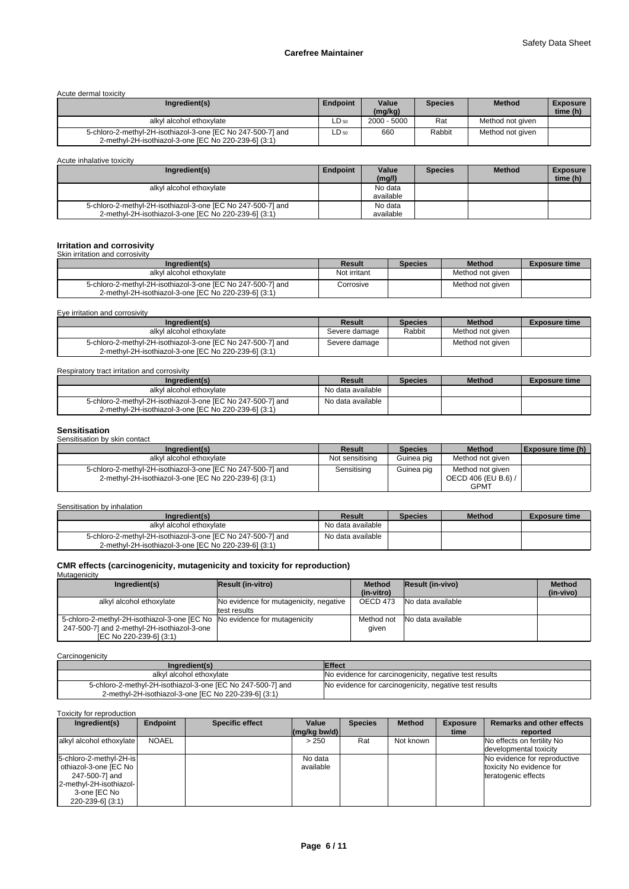### Acute dermal toxicity

| Ingredient(s)                                                                                                       | Endpoint  | Value<br>(mq/kg) | <b>Species</b> | <b>Method</b>    | <b>Exposure</b><br>time (h) |
|---------------------------------------------------------------------------------------------------------------------|-----------|------------------|----------------|------------------|-----------------------------|
| alkyl alcohol ethoxylate                                                                                            | $LD_{50}$ | $2000 - 5000$    | Rat            | Method not given |                             |
| 5-chloro-2-methyl-2H-isothiazol-3-one [EC No 247-500-7] and<br>2-methyl-2H-isothiazol-3-one [EC No 220-239-6] (3:1) | ∟D 50     | 660              | Rabbit         | Method not given |                             |

Acute inhalative toxicity

| Ingredient(s)                                               | Endpoint | Value<br>(mg/l) | <b>Species</b> | <b>Method</b> | <b>Exposure</b><br>time (h) |
|-------------------------------------------------------------|----------|-----------------|----------------|---------------|-----------------------------|
| alkyl alcohol ethoxylate                                    |          | No data         |                |               |                             |
|                                                             |          | available       |                |               |                             |
| 5-chloro-2-methyl-2H-isothiazol-3-one [EC No 247-500-7] and |          | No data         |                |               |                             |
| 2-methyl-2H-isothiazol-3-one [EC No 220-239-6] (3:1)        |          | available       |                |               |                             |

# **Irritation and corrosivity** Skin irritation and corrosivity

| Ingredient(s)                                                                                                       | Result       | <b>Species</b> | <b>Method</b>    | <b>Exposure time</b> |
|---------------------------------------------------------------------------------------------------------------------|--------------|----------------|------------------|----------------------|
| alkyl alcohol ethoxylate                                                                                            | Not irritant |                | Method not given |                      |
| 5-chloro-2-methyl-2H-isothiazol-3-one [EC No 247-500-7] and<br>2-methyl-2H-isothiazol-3-one [EC No 220-239-6] (3:1) | Corrosive    |                | Method not given |                      |

Eye irritation and corrosivity

| Ingredient(s)                                                                                                       | Result        | <b>Species</b> | <b>Method</b>    | <b>Exposure time</b> |
|---------------------------------------------------------------------------------------------------------------------|---------------|----------------|------------------|----------------------|
| alkyl alcohol ethoxylate                                                                                            | Severe damage | Rabbit         | Method not given |                      |
| 5-chloro-2-methyl-2H-isothiazol-3-one [EC No 247-500-7] and<br>2-methyl-2H-isothiazol-3-one IEC No 220-239-61 (3:1) | Severe damage |                | Method not given |                      |

# Respiratory tract irritation and corrosivity

| Ingredient(s)                                                                                                       | Result            | <b>Species</b> | <b>Method</b> | <b>Exposure time</b> |
|---------------------------------------------------------------------------------------------------------------------|-------------------|----------------|---------------|----------------------|
| alkyl alcohol ethoxylate                                                                                            | No data available |                |               |                      |
| 5-chloro-2-methyl-2H-isothiazol-3-one [EC No 247-500-7] and<br>2-methyl-2H-isothiazol-3-one IEC No 220-239-61 (3:1) | No data available |                |               |                      |

# **Sensitisation**

| <u>vviiviuvuuvii</u>  |  |  |
|-----------------------|--|--|
| Sensitisation by skin |  |  |

| Sensitisation bv skin contact                                                                                       |                 |                |                                                        |                          |
|---------------------------------------------------------------------------------------------------------------------|-----------------|----------------|--------------------------------------------------------|--------------------------|
| Ingredient(s)                                                                                                       | Result          | <b>Species</b> | <b>Method</b>                                          | <b>Exposure time (h)</b> |
| alkyl alcohol ethoxylate                                                                                            | Not sensitising | Guinea pig     | Method not given                                       |                          |
| 5-chloro-2-methyl-2H-isothiazol-3-one [EC No 247-500-7] and<br>2-methyl-2H-isothiazol-3-one [EC No 220-239-6] (3:1) | Sensitising     | Guinea pig     | Method not given<br>OECD 406 (EU B.6) /<br><b>GPMT</b> |                          |

### Sensitisation by inhalation

| Ingredient(s)                                               | Result            | <b>Species</b> | <b>Method</b> | <b>Exposure time</b> |
|-------------------------------------------------------------|-------------------|----------------|---------------|----------------------|
| alkyl alcohol ethoxylate                                    | No data available |                |               |                      |
| 5-chloro-2-methyl-2H-isothiazol-3-one IEC No 247-500-71 and | No data available |                |               |                      |
| 2-methyl-2H-isothiazol-3-one [EC No 220-239-6] (3:1)        |                   |                |               |                      |

# **CMR effects (carcinogenicity, mutagenicity and toxicity for reproduction)** Mutagenicity

| <u>IVIULUULIILIV</u>                                                                                                                                |                                                        |                             |                         |                            |
|-----------------------------------------------------------------------------------------------------------------------------------------------------|--------------------------------------------------------|-----------------------------|-------------------------|----------------------------|
| Ingredient(s)                                                                                                                                       | <b>Result (in-vitro)</b>                               | <b>Method</b><br>(in-vitro) | <b>Result (in-vivo)</b> | <b>Method</b><br>(in-vivo) |
| alkyl alcohol ethoxylate                                                                                                                            | No evidence for mutagenicity, negative<br>test results | OECD 473                    | No data available       |                            |
| 5-chloro-2-methyl-2H-isothiazol-3-one [EC No No evidence for mutagenicity<br>247-500-7] and 2-methyl-2H-isothiazol-3-one<br>[EC No 220-239-6] (3:1) |                                                        | Method not<br>aiven         | No data available       |                            |

# **Carcinogenicity**

| Ingredient(s)                                               | <b>IEffect</b>                                         |
|-------------------------------------------------------------|--------------------------------------------------------|
| alkyl alcohol ethoxylate                                    | No evidence for carcinogenicity, negative test results |
| 5-chloro-2-methyl-2H-isothiazol-3-one [EC No 247-500-7] and | No evidence for carcinogenicity, negative test results |
| 2-methyl-2H-isothiazol-3-one [EC No 220-239-6] (3:1)        |                                                        |

Toxicity for reproduction

| Ingredient(s)                                                                                                                       | Endpoint     | <b>Specific effect</b> | Value<br>$\left \frac{\text{mg}}{\text{kg}}\right $ (mg/kg bw/d) | <b>Species</b> | <b>Method</b> | <b>Exposure</b><br>time | <b>Remarks and other effects</b><br>reported                                    |
|-------------------------------------------------------------------------------------------------------------------------------------|--------------|------------------------|------------------------------------------------------------------|----------------|---------------|-------------------------|---------------------------------------------------------------------------------|
| alkyl alcohol ethoxylate                                                                                                            | <b>NOAEL</b> |                        | > 250                                                            | Rat            | Not known     |                         | No effects on fertility No<br>developmental toxicity                            |
| 5-chloro-2-methyl-2H-is<br>othiazol-3-one [EC No ]<br>247-500-7] and<br>2-methyl-2H-isothiazol-<br>3-one [EC No<br>220-239-6] (3:1) |              |                        | No data<br>available                                             |                |               |                         | No evidence for reproductive<br>toxicity No evidence for<br>teratogenic effects |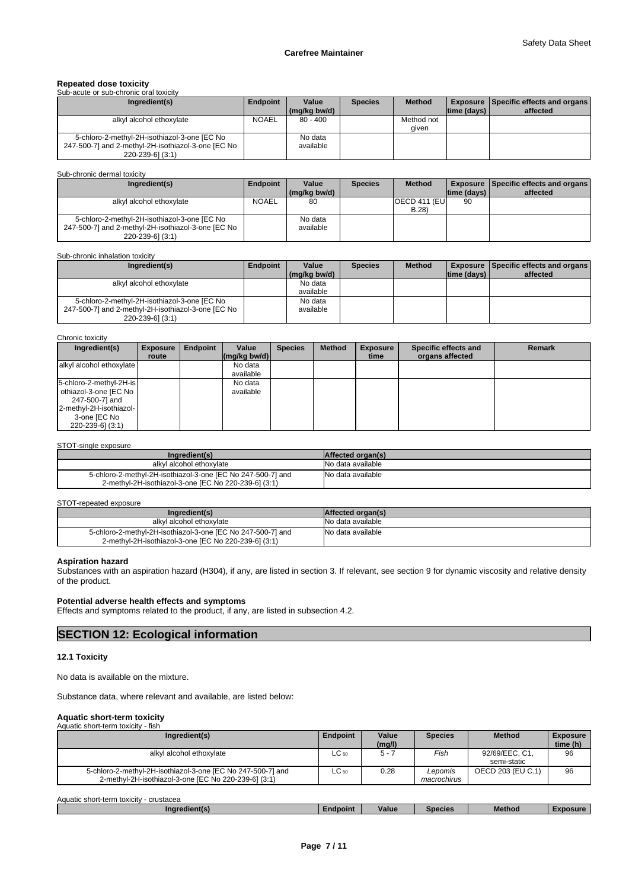# **Repeated dose toxicity** Sub-acute or sub-chronic oral toxicity

| <u>UUD-ACULE OF SUD-CHIUHIC UTAL IUAICILY</u>      |              |                       |                |               |                |                                                         |
|----------------------------------------------------|--------------|-----------------------|----------------|---------------|----------------|---------------------------------------------------------|
| Ingredient(s)                                      | Endpoint     | Value<br>(ma/ka bw/d) | <b>Species</b> | <b>Method</b> | Itime (davs) I | <b>Exposure Specific effects and organs</b><br>affected |
| alkyl alcohol ethoxylate                           | <b>NOAEL</b> | $80 - 400$            |                | Method not    |                |                                                         |
|                                                    |              |                       |                |               |                |                                                         |
|                                                    |              |                       |                | aiven         |                |                                                         |
| 5-chloro-2-methyl-2H-isothiazol-3-one [EC No       |              | No data               |                |               |                |                                                         |
| 247-500-7] and 2-methyl-2H-isothiazol-3-one [EC No |              | available             |                |               |                |                                                         |
| $220 - 239 - 6$ ] (3:1)                            |              |                       |                |               |                |                                                         |

Sub-chronic dermal toxicity

| Ingredient(s)                                      | Endpoint     | Value        | <b>Species</b> | <b>Method</b> |                | <b>Exposure Specific effects and organs  </b> |
|----------------------------------------------------|--------------|--------------|----------------|---------------|----------------|-----------------------------------------------|
|                                                    |              | (ma/ka bw/d) |                |               | Itime (davs) I | affected                                      |
| alkyl alcohol ethoxylate                           | <b>NOAEL</b> | 80           |                | OECD 411 (EU  | 90             |                                               |
|                                                    |              |              |                | B.28          |                |                                               |
| 5-chloro-2-methyl-2H-isothiazol-3-one [EC No       |              | No data      |                |               |                |                                               |
| 247-500-7] and 2-methyl-2H-isothiazol-3-one [EC No |              | available    |                |               |                |                                               |
| 220-239-6] (3:1)                                   |              |              |                |               |                |                                               |

#### Sub-chronic inhalation toxicity

| Ingredient(s)                                      | Endpoint | Value        | <b>Species</b> | <b>Method</b> |                | <b>Exposure   Specific effects and organs  </b> |
|----------------------------------------------------|----------|--------------|----------------|---------------|----------------|-------------------------------------------------|
|                                                    |          | (ma/ka bw/d) |                |               | ltime (davs) I | affected                                        |
| alkyl alcohol ethoxylate                           |          | No data      |                |               |                |                                                 |
|                                                    |          | available    |                |               |                |                                                 |
| 5-chloro-2-methyl-2H-isothiazol-3-one [EC No       |          | No data      |                |               |                |                                                 |
| 247-500-7] and 2-methyl-2H-isothiazol-3-one [EC No |          | available    |                |               |                |                                                 |
| 220-239-6] (3:1)                                   |          |              |                |               |                |                                                 |

#### Chronic toxicity

| Ingredient(s)            | <b>Exposure</b><br>route | Endpoint | Value<br>$\left \frac{\text{mg}}{\text{kg}}\right $ (mg/kg bw/d) | <b>Species</b> | <b>Method</b> | <b>Exposure</b><br>time | Specific effects and<br>organs affected | <b>Remark</b> |
|--------------------------|--------------------------|----------|------------------------------------------------------------------|----------------|---------------|-------------------------|-----------------------------------------|---------------|
| alkyl alcohol ethoxylate |                          |          | No data                                                          |                |               |                         |                                         |               |
|                          |                          |          | available                                                        |                |               |                         |                                         |               |
| 5-chloro-2-methyl-2H-is  |                          |          | No data                                                          |                |               |                         |                                         |               |
| othiazol-3-one [EC No    |                          |          | available                                                        |                |               |                         |                                         |               |
| 247-500-7] and           |                          |          |                                                                  |                |               |                         |                                         |               |
| 2-methyl-2H-isothiazol-  |                          |          |                                                                  |                |               |                         |                                         |               |
| 3-one [EC No             |                          |          |                                                                  |                |               |                         |                                         |               |
| 220-239-6] (3:1)         |                          |          |                                                                  |                |               |                         |                                         |               |

#### STOT-single exposure

| Ingredient(s)                                                                                                       | <b>Affected organ(s)</b> |
|---------------------------------------------------------------------------------------------------------------------|--------------------------|
| alkyl alcohol ethoxylate                                                                                            | lNo data available.      |
| 5-chloro-2-methyl-2H-isothiazol-3-one IEC No 247-500-71 and<br>2-methyl-2H-isothiazol-3-one IEC No 220-239-61 (3:1) | No data available        |

#### STOT-repeated exposure

| Inaredient(s)                                               | <b>Affected organ(s)</b> |
|-------------------------------------------------------------|--------------------------|
| alkyl alcohol ethoxylate                                    | No data available        |
| 5-chloro-2-methyl-2H-isothiazol-3-one [EC No 247-500-7] and | No data available        |
| 2-methyl-2H-isothiazol-3-one [EC No 220-239-6] (3:1)        |                          |

# **Aspiration hazard**

Substances with an aspiration hazard (H304), if any, are listed in section 3. If relevant, see section 9 for dynamic viscosity and relative density of the product.

### **Potential adverse health effects and symptoms**

Effects and symptoms related to the product, if any, are listed in subsection 4.2.

# **SECTION 12: Ecological information**

### **12.1 Toxicity**

No data is available on the mixture.

Substance data, where relevant and available, are listed below:

# **Aquatic short-term toxicity** Aquatic short-term toxicity - fish

| Ingredient(s)                                                                                                       | <b>Endpoint</b> | Value<br>(mq/l) | <b>Species</b>         | <b>Method</b>                 | <b>Exposure</b><br>time (h) |
|---------------------------------------------------------------------------------------------------------------------|-----------------|-----------------|------------------------|-------------------------------|-----------------------------|
| alkyl alcohol ethoxylate                                                                                            | $LC_{50}$       | 5 - 1           | Fish                   | 92/69/EEC, C1,<br>semi-static | 96                          |
| 5-chloro-2-methyl-2H-isothiazol-3-one [EC No 247-500-7] and<br>2-methyl-2H-isothiazol-3-one IEC No 220-239-61 (3:1) | $LC_{50}$       | 0.28            | Lepomis<br>macrochirus | OECD 203 (EU C.1)             | 96                          |

| Aquatir<br>crustacea<br>t-term toxicitv<br>short |          |              |         |               |        |
|--------------------------------------------------|----------|--------------|---------|---------------|--------|
| Indredient(s)                                    | Endpoint | . .<br>Value | Species | <b>Method</b> | posure |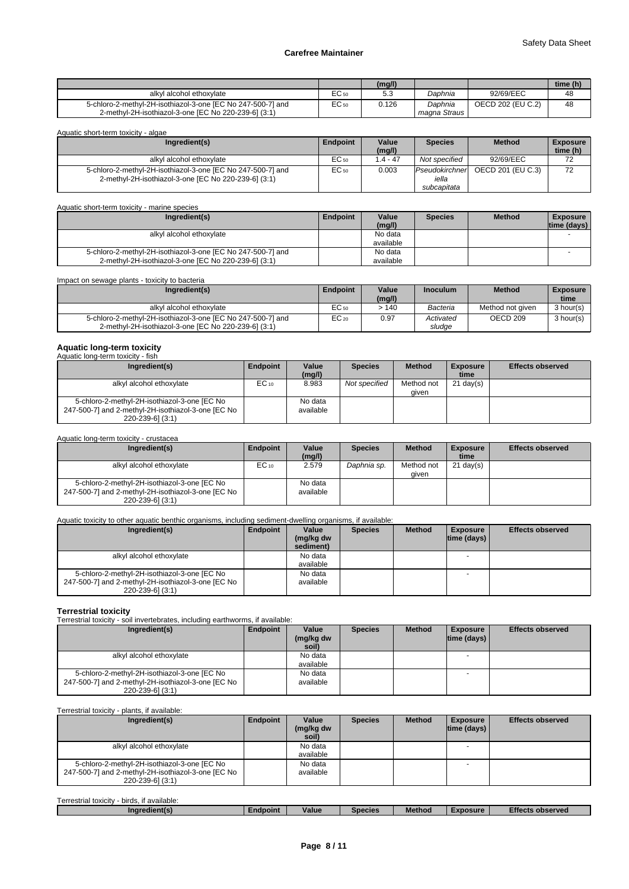|                                                                                                                     |                    | (mg/l) |                           |                   | time (h) |
|---------------------------------------------------------------------------------------------------------------------|--------------------|--------|---------------------------|-------------------|----------|
| alkvl alcohol ethoxvlate                                                                                            | <b>-0</b><br>EC 50 | ں.ں    | Daphnia                   | 92/69/EEC         | 48       |
| 5-chloro-2-methyl-2H-isothiazol-3-one [EC No 247-500-7] and<br>2-methyl-2H-isothiazol-3-one [EC No 220-239-6] (3:1) | EC <sub>50</sub>   | 0.126  | Daphnia<br>magna Straus I | OECD 202 (EU C.2) | 48       |

| Aquatic short-term toxicity - algae                                                                                 |          |                 |                                        |                   |                             |  |  |  |  |
|---------------------------------------------------------------------------------------------------------------------|----------|-----------------|----------------------------------------|-------------------|-----------------------------|--|--|--|--|
| Ingredient(s)                                                                                                       | Endpoint | Value<br>(mg/l) | <b>Species</b>                         | <b>Method</b>     | <b>Exposure</b><br>time (h) |  |  |  |  |
| alkyl alcohol ethoxylate                                                                                            | EC 50    | $1.4 - 47$      | Not specified                          | 92/69/EEC         | 72                          |  |  |  |  |
| 5-chloro-2-methyl-2H-isothiazol-3-one [EC No 247-500-7] and<br>2-methyl-2H-isothiazol-3-one [EC No 220-239-6] (3:1) | EC 50    | 0.003           | Pseudokirchner<br>iella<br>subcapitata | OECD 201 (EU C.3) | 72                          |  |  |  |  |

| Aquatic short-term toxicity - marine species                |          |                 |                |               |                                  |
|-------------------------------------------------------------|----------|-----------------|----------------|---------------|----------------------------------|
| Ingredient(s)                                               | Endpoint | Value<br>(mq/l) | <b>Species</b> | <b>Method</b> | <b>Exposure</b><br>$time$ (days) |
| alkyl alcohol ethoxylate                                    |          | No data         |                |               |                                  |
|                                                             |          | available       |                |               |                                  |
| 5-chloro-2-methyl-2H-isothiazol-3-one [EC No 247-500-7] and |          | No data         |                |               |                                  |
| 2-methyl-2H-isothiazol-3-one [EC No 220-239-6] (3:1)        |          | available       |                |               |                                  |

| Impact on sewage plants - toxicity to bacteria                                                                      |                 |                 |                     |                     |                         |
|---------------------------------------------------------------------------------------------------------------------|-----------------|-----------------|---------------------|---------------------|-------------------------|
| Ingredient(s)                                                                                                       | <b>Endpoint</b> | Value<br>(mg/l) | <b>Inoculum</b>     | <b>Method</b>       | <b>Exposure</b><br>time |
| alkyl alcohol ethoxylate                                                                                            | EC 50           | >140            | Bacteria            | Method not given    | 3 hour(s)               |
| 5-chloro-2-methyl-2H-isothiazol-3-one [EC No 247-500-7] and<br>2-methyl-2H-isothiazol-3-one [EC No 220-239-6] (3:1) | $EC_{20}$       | 0.97            | Activated<br>sludge | OECD <sub>209</sub> | 3 hour(s)               |

# **Aquatic long-term toxicity** Aquatic long-term toxicity - fish

| Ingredient(s)                                                                                                          | Endpoint  | Value<br>(mq/l)      | <b>Species</b> | <b>Method</b>       | <b>Exposure</b><br>time | <b>Effects observed</b> |
|------------------------------------------------------------------------------------------------------------------------|-----------|----------------------|----------------|---------------------|-------------------------|-------------------------|
| alkyl alcohol ethoxylate                                                                                               | $EC_{10}$ | 8.983                | Not specified  | Method not<br>aiven | $21 \text{ day}(s)$     |                         |
| 5-chloro-2-methyl-2H-isothiazol-3-one [EC No<br>247-500-7] and 2-methyl-2H-isothiazol-3-one [EC No<br>220-239-61 (3:1) |           | No data<br>available |                |                     |                         |                         |

#### Aquatic long-term toxicity - crustacea

| Ingredient(s)                                      | Endpoint  | Value     | <b>Species</b> | <b>Method</b> | <b>Exposure</b>     | <b>Effects observed</b> |
|----------------------------------------------------|-----------|-----------|----------------|---------------|---------------------|-------------------------|
|                                                    |           | (mg/l)    |                |               | time                |                         |
| alkyl alcohol ethoxylate                           | $EC_{10}$ | 2.579     | Daphnia sp.    | Method not    | $21 \text{ day}(s)$ |                         |
|                                                    |           |           |                | aiven         |                     |                         |
| 5-chloro-2-methyl-2H-isothiazol-3-one [EC No       |           | No data   |                |               |                     |                         |
| 247-500-7] and 2-methyl-2H-isothiazol-3-one [EC No |           | available |                |               |                     |                         |
| 220-239-6] (3:1)                                   |           |           |                |               |                     |                         |

# Aquatic toxicity to other aquatic benthic organisms, including sediment-dwelling organisms, if available:

| Ingredient(s)                                                                                                          | Endpoint | Value                  | <b>Species</b> | <b>Method</b> | <b>Exposure</b>    | <b>Effects observed</b> |
|------------------------------------------------------------------------------------------------------------------------|----------|------------------------|----------------|---------------|--------------------|-------------------------|
|                                                                                                                        |          | (mg/kg dw<br>sediment) |                |               | $ time$ (days) $ $ |                         |
| alkyl alcohol ethoxylate                                                                                               |          | No data<br>available   |                |               |                    |                         |
| 5-chloro-2-methyl-2H-isothiazol-3-one [EC No<br>247-500-7] and 2-methyl-2H-isothiazol-3-one [EC No<br>220-239-6] (3:1) |          | No data<br>available   |                |               |                    |                         |

**Terrestrial toxicity** Terrestrial toxicity - soil invertebrates, including earthworms, if available:

| Ingredient(s)                                                                                                          | Endpoint | Value                | <b>Species</b> | <b>Method</b> | <b>Exposure</b>    | <b>Effects observed</b> |
|------------------------------------------------------------------------------------------------------------------------|----------|----------------------|----------------|---------------|--------------------|-------------------------|
|                                                                                                                        |          | (mg/kg dw<br>soil)   |                |               | $ time$ (days) $ $ |                         |
| alkyl alcohol ethoxylate                                                                                               |          | No data<br>available |                |               |                    |                         |
| 5-chloro-2-methyl-2H-isothiazol-3-one [EC No<br>247-500-7] and 2-methyl-2H-isothiazol-3-one [EC No<br>220-239-6] (3:1) |          | No data<br>available |                |               |                    |                         |

# Terrestrial toxicity - plants, if available:

| Ingredient(s)                                                          | Endpoint | Value<br>(mg/kg dw | <b>Species</b> | <b>Method</b> | <b>Exposure</b><br>$ time$ (days) $ $ | <b>Effects observed</b> |
|------------------------------------------------------------------------|----------|--------------------|----------------|---------------|---------------------------------------|-------------------------|
|                                                                        |          | soil)              |                |               |                                       |                         |
| alkyl alcohol ethoxylate                                               |          | No data            |                |               |                                       |                         |
|                                                                        |          | available          |                |               |                                       |                         |
| 5-chloro-2-methyl-2H-isothiazol-3-one [EC No                           |          | No data            |                |               |                                       |                         |
| 247-500-7] and 2-methyl-2H-isothiazol-3-one [EC No<br>220-239-6] (3:1) |          | available          |                |               |                                       |                         |

| $ -$<br>$\cdots$<br>Terrestrial<br>I toxicity - birds.<br>if available: |          |       |                |        |         |                  |
|-------------------------------------------------------------------------|----------|-------|----------------|--------|---------|------------------|
| redient(s'<br>ngr.                                                      | Endpoint | Value | <b>Species</b> | Method | xnosure | Effects observed |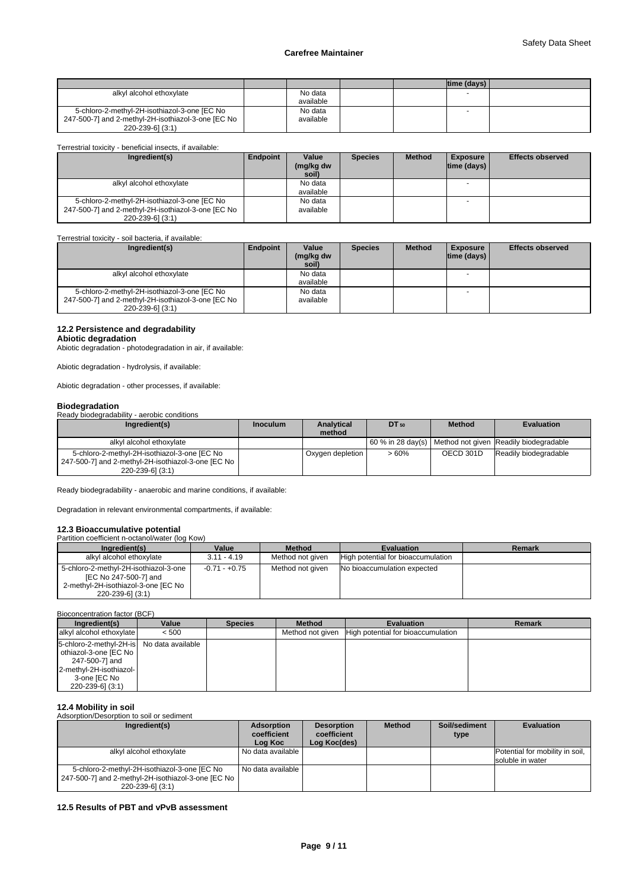|                                                    |           |  | ltime (davs) l |  |
|----------------------------------------------------|-----------|--|----------------|--|
| alkyl alcohol ethoxylate                           | No data   |  |                |  |
|                                                    | available |  |                |  |
| 5-chloro-2-methyl-2H-isothiazol-3-one [EC No       | No data   |  |                |  |
| 247-500-7] and 2-methyl-2H-isothiazol-3-one [EC No | available |  |                |  |
| 220-239-61 (3:1)                                   |           |  |                |  |

#### Terrestrial toxicity - beneficial insects, if available:

| Ingredient(s)                                                                                                          | Endpoint | Value<br>(mg/kg dw<br>soil) | <b>Species</b> | <b>Method</b> | <b>Exposure</b><br>$ time$ (days) $ $ | <b>Effects observed</b> |
|------------------------------------------------------------------------------------------------------------------------|----------|-----------------------------|----------------|---------------|---------------------------------------|-------------------------|
| alkyl alcohol ethoxylate                                                                                               |          | No data<br>available        |                |               |                                       |                         |
| 5-chloro-2-methyl-2H-isothiazol-3-one [EC No<br>247-500-7] and 2-methyl-2H-isothiazol-3-one [EC No<br>220-239-61 (3:1) |          | No data<br>available        |                |               |                                       |                         |

# Terrestrial toxicity - soil bacteria, if available:

| Ingredient(s)                                                                                                          | Endpoint | Value<br>(mg/kg dw<br>soil) | <b>Species</b> | <b>Method</b> | <b>Exposure</b><br>$ time$ (days) $ $ | <b>Effects observed</b> |
|------------------------------------------------------------------------------------------------------------------------|----------|-----------------------------|----------------|---------------|---------------------------------------|-------------------------|
| alkyl alcohol ethoxylate                                                                                               |          | No data<br>available        |                |               |                                       |                         |
| 5-chloro-2-methyl-2H-isothiazol-3-one [EC No<br>247-500-7] and 2-methyl-2H-isothiazol-3-one [EC No<br>220-239-6] (3:1) |          | No data<br>available        |                |               |                                       |                         |

# **12.2 Persistence and degradability**

# **Abiotic degradation**

Abiotic degradation - photodegradation in air, if available:

Abiotic degradation - hydrolysis, if available:

Abiotic degradation - other processes, if available:

**Biodegradation** Ready biodegradability - aerobic conditions

| Ingredient(s)                                                                                                            | <b>Inoculum</b> | <b>Analytical</b><br>method | $DT_{50}$ | <b>Method</b> | <b>Evaluation</b>                                          |
|--------------------------------------------------------------------------------------------------------------------------|-----------------|-----------------------------|-----------|---------------|------------------------------------------------------------|
| alkyl alcohol ethoxylate                                                                                                 |                 |                             |           |               | 60 % in 28 day(s)   Method not given Readily biodegradable |
| 5-chloro-2-methyl-2H-isothiazol-3-one [EC No<br>247-500-7] and 2-methyl-2H-isothiazol-3-one [EC No  <br>220-239-61 (3:1) |                 | Oxygen depletion            | $>60\%$   | OECD 301D     | Readily biodegradable                                      |

Ready biodegradability - anaerobic and marine conditions, if available:

Degradation in relevant environmental compartments, if available:

# **12.3 Bioaccumulative potential**

| Partition coefficient n-octanol/water (log Kow)                                                                           |               |                  |                                    |               |
|---------------------------------------------------------------------------------------------------------------------------|---------------|------------------|------------------------------------|---------------|
| Ingredient(s)                                                                                                             | Value         | <b>Method</b>    | <b>Evaluation</b>                  | <b>Remark</b> |
| alkyl alcohol ethoxylate                                                                                                  | $3.11 - 4.19$ | Method not given | High potential for bioaccumulation |               |
| 5-chloro-2-methyl-2H-isothiazol-3-one<br>[EC No 247-500-7] and<br>2-methyl-2H-isothiazol-3-one [EC No<br>220-239-6] (3:1) | -0.71 - +0.75 | Method not given | No bioaccumulation expected        |               |

# Bioconcentration factor (BCF)

| Ingredient(s)                                                                                                                                         | Value | <b>Species</b> | <b>Method</b>    | <b>Evaluation</b>                  | <b>Remark</b> |
|-------------------------------------------------------------------------------------------------------------------------------------------------------|-------|----------------|------------------|------------------------------------|---------------|
| alkyl alcohol ethoxylate                                                                                                                              | < 500 |                | Method not given | High potential for bioaccumulation |               |
| 5-chloro-2-methyl-2H-is No data available<br>othiazol-3-one [EC No ]<br>247-500-7] and<br>2-methyl-2H-isothiazol-<br>3-one [EC No<br>220-239-6] (3:1) |       |                |                  |                                    |               |

### **12.4 Mobility in soil**

Adsorption/Desorption to soil or sediment

| Ingredient(s)                                                                                                            | <b>Adsorption</b><br>coefficient<br>Log Koc | <b>Desorption</b><br>coefficient<br>Log Koc(des) | <b>Method</b> | Soil/sediment<br>type | <b>Evaluation</b>                                   |
|--------------------------------------------------------------------------------------------------------------------------|---------------------------------------------|--------------------------------------------------|---------------|-----------------------|-----------------------------------------------------|
| alkyl alcohol ethoxylate                                                                                                 | No data available                           |                                                  |               |                       | Potential for mobility in soil,<br>soluble in water |
| 5-chloro-2-methyl-2H-isothiazol-3-one [EC No<br>247-500-7] and 2-methyl-2H-isothiazol-3-one [EC No  <br>220-239-61 (3:1) | No data available                           |                                                  |               |                       |                                                     |

# **12.5 Results of PBT and vPvB assessment**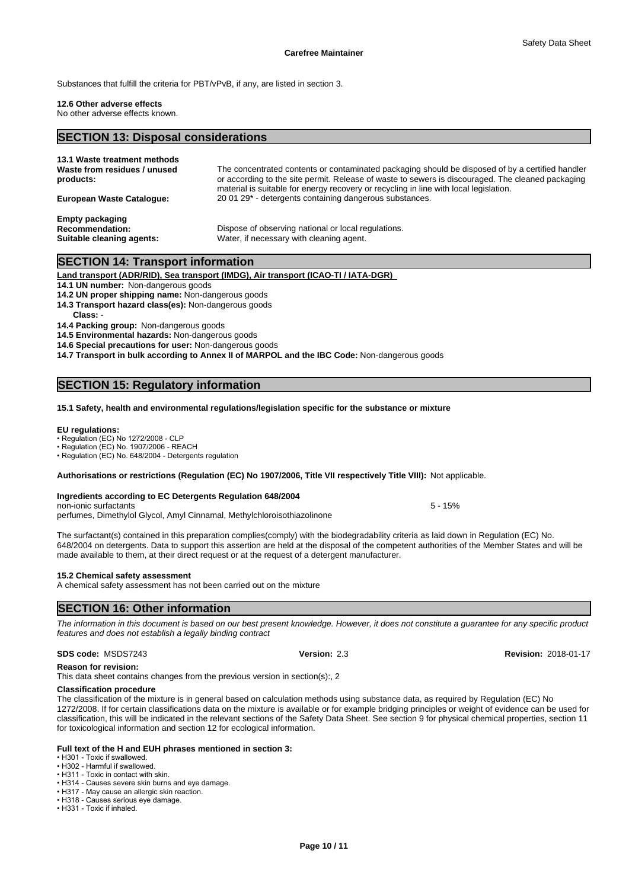Substances that fulfill the criteria for PBT/vPvB, if any, are listed in section 3.

#### **12.6 Other adverse effects**

No other adverse effects known.

# **SECTION 13: Disposal considerations**

| 13.1 Waste treatment methods<br>Waste from residues / unused<br>products:     | The concentrated contents or contaminated packaging should be disposed of by a certified handler<br>or according to the site permit. Release of waste to sewers is discouraged. The cleaned packaging<br>material is suitable for energy recovery or recycling in line with local legislation. |
|-------------------------------------------------------------------------------|------------------------------------------------------------------------------------------------------------------------------------------------------------------------------------------------------------------------------------------------------------------------------------------------|
| <b>European Waste Cataloque:</b>                                              | 20 01 29 <sup>*</sup> - detergents containing dangerous substances.                                                                                                                                                                                                                            |
| <b>Empty packaging</b><br><b>Recommendation:</b><br>Suitable cleaning agents: | Dispose of observing national or local regulations.<br>Water, if necessary with cleaning agent.                                                                                                                                                                                                |

# **SECTION 14: Transport information**

**Land transport (ADR/RID), Sea transport (IMDG), Air transport (ICAO-TI / IATA-DGR)** 

**14.1 UN number:** Non-dangerous goods

- **14.2 UN proper shipping name:** Non-dangerous goods
- **14.3 Transport hazard class(es):** Non-dangerous goods

Class:

**14.4 Packing group:** Non-dangerous goods

**14.5 Environmental hazards:** Non-dangerous goods

**14.6 Special precautions for user:** Non-dangerous goods

**14.7 Transport in bulk according to Annex II of MARPOL and the IBC Code:** Non-dangerous goods

# **SECTION 15: Regulatory information**

#### **15.1 Safety, health and environmental regulations/legislation specific for the substance or mixture**

#### **EU regulations:**

Regulation (EC) No 1272/2008 - CLP

• Regulation (EC) No. 1907/2006 - REACH

• Regulation (EC) No. 648/2004 - Detergents regulation

#### **Authorisations or restrictions (Regulation (EC) No 1907/2006, Title VII respectively Title VIII):** Not applicable.

#### **Ingredients according to EC Detergents Regulation 648/2004**

non-ionic surfactants 5 - 15% perfumes, Dimethylol Glycol, Amyl Cinnamal, Methylchloroisothiazolinone

The surfactant(s) contained in this preparation complies(comply) with the biodegradability criteria as laid down in Regulation (EC) No. 648/2004 on detergents. Data to support this assertion are held at the disposal of the competent authorities of the Member States and will be made available to them, at their direct request or at the request of a detergent manufacturer.

# **15.2 Chemical safety assessment**

A chemical safety assessment has not been carried out on the mixture

# **SECTION 16: Other information**

*The information in this document is based on our best present knowledge. However, it does not constitute a guarantee for any specific product features and does not establish a legally binding contract*

### **SDS code:** MSDS7243 **Version:** 2.3 **Revision:** 2018-01-17

**Reason for revision:**

This data sheet contains changes from the previous version in section(s):, 2

#### **Classification procedure**

The classification of the mixture is in general based on calculation methods using substance data, as required by Regulation (EC) No 1272/2008. If for certain classifications data on the mixture is available or for example bridging principles or weight of evidence can be used for classification, this will be indicated in the relevant sections of the Safety Data Sheet. See section 9 for physical chemical properties, section 11 for toxicological information and section 12 for ecological information.

#### **Full text of the H and EUH phrases mentioned in section 3:**

• H301 - Toxic if swallowed.

• H302 - Harmful if swallowed. • H311 - Toxic in contact with skin.

- H314 Causes severe skin burns and eye damage.
- H317 May cause an allergic skin reaction.

• H318 - Causes serious eye damage

• H331 - Toxic if inhaled